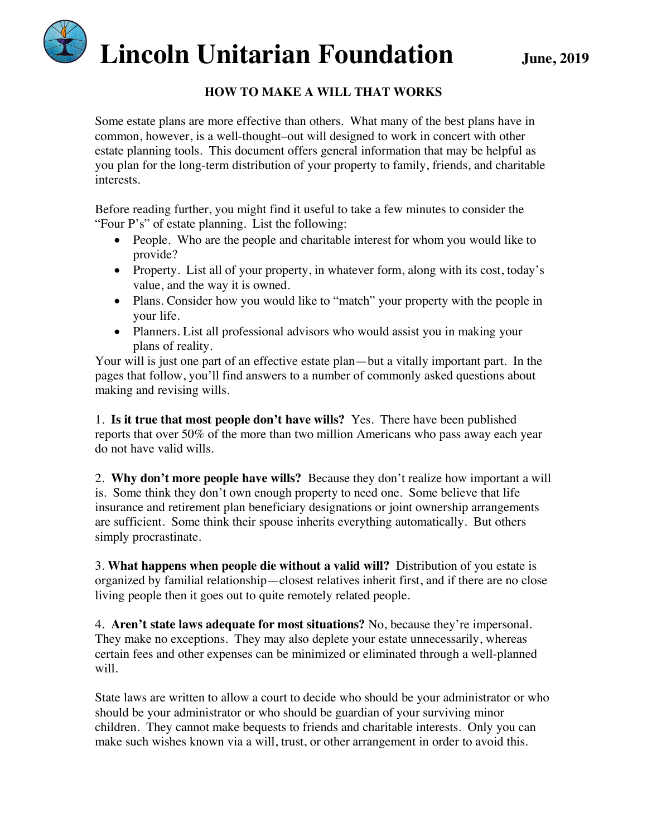

#### **HOW TO MAKE A WILL THAT WORKS**

Some estate plans are more effective than others. What many of the best plans have in common, however, is a well-thought–out will designed to work in concert with other estate planning tools. This document offers general information that may be helpful as you plan for the long-term distribution of your property to family, friends, and charitable interests.

Before reading further, you might find it useful to take a few minutes to consider the "Four P's" of estate planning. List the following:

- People. Who are the people and charitable interest for whom you would like to provide?
- Property. List all of your property, in whatever form, along with its cost, today's value, and the way it is owned.
- Plans. Consider how you would like to "match" your property with the people in your life.
- Planners. List all professional advisors who would assist you in making your plans of reality.

Your will is just one part of an effective estate plan—but a vitally important part. In the pages that follow, you'll find answers to a number of commonly asked questions about making and revising wills.

1. **Is it true that most people don't have wills?** Yes. There have been published reports that over 50% of the more than two million Americans who pass away each year do not have valid wills.

2. **Why don't more people have wills?** Because they don't realize how important a will is. Some think they don't own enough property to need one. Some believe that life insurance and retirement plan beneficiary designations or joint ownership arrangements are sufficient. Some think their spouse inherits everything automatically. But others simply procrastinate.

3. **What happens when people die without a valid will?** Distribution of you estate is organized by familial relationship—closest relatives inherit first, and if there are no close living people then it goes out to quite remotely related people.

4. **Aren't state laws adequate for most situations?** No, because they're impersonal. They make no exceptions. They may also deplete your estate unnecessarily, whereas certain fees and other expenses can be minimized or eliminated through a well-planned will.

State laws are written to allow a court to decide who should be your administrator or who should be your administrator or who should be guardian of your surviving minor children. They cannot make bequests to friends and charitable interests. Only you can make such wishes known via a will, trust, or other arrangement in order to avoid this.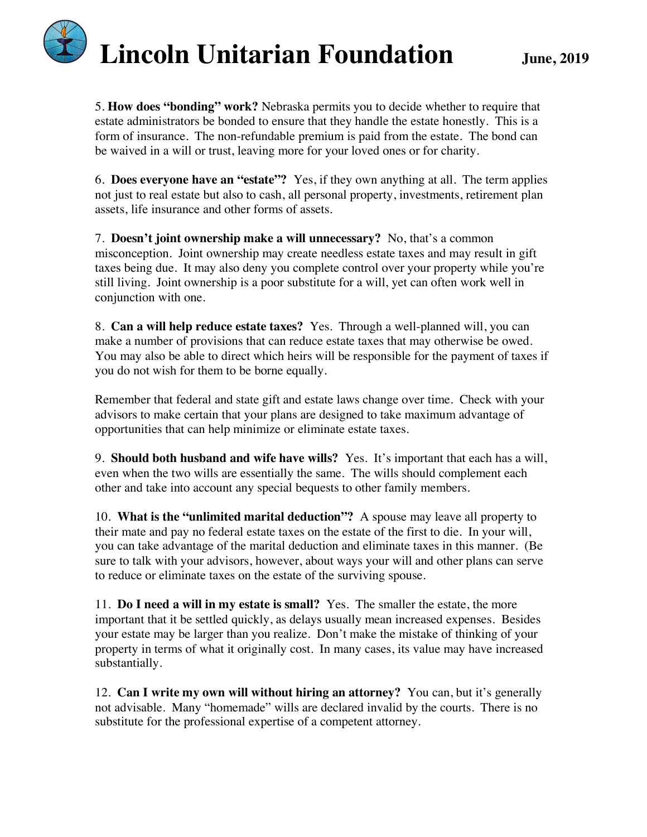5. **How does "bonding" work?** Nebraska permits you to decide whether to require that estate administrators be bonded to ensure that they handle the estate honestly. This is a form of insurance. The non-refundable premium is paid from the estate. The bond can be waived in a will or trust, leaving more for your loved ones or for charity.

6. **Does everyone have an "estate"?** Yes, if they own anything at all. The term applies not just to real estate but also to cash, all personal property, investments, retirement plan assets, life insurance and other forms of assets.

7. **Doesn't joint ownership make a will unnecessary?** No, that's a common misconception. Joint ownership may create needless estate taxes and may result in gift taxes being due. It may also deny you complete control over your property while you're still living. Joint ownership is a poor substitute for a will, yet can often work well in conjunction with one.

8. **Can a will help reduce estate taxes?** Yes. Through a well-planned will, you can make a number of provisions that can reduce estate taxes that may otherwise be owed. You may also be able to direct which heirs will be responsible for the payment of taxes if you do not wish for them to be borne equally.

Remember that federal and state gift and estate laws change over time. Check with your advisors to make certain that your plans are designed to take maximum advantage of opportunities that can help minimize or eliminate estate taxes.

9. **Should both husband and wife have wills?** Yes. It's important that each has a will, even when the two wills are essentially the same. The wills should complement each other and take into account any special bequests to other family members.

10. **What is the "unlimited marital deduction"?** A spouse may leave all property to their mate and pay no federal estate taxes on the estate of the first to die. In your will, you can take advantage of the marital deduction and eliminate taxes in this manner. (Be sure to talk with your advisors, however, about ways your will and other plans can serve to reduce or eliminate taxes on the estate of the surviving spouse.

11. **Do I need a will in my estate is small?** Yes. The smaller the estate, the more important that it be settled quickly, as delays usually mean increased expenses. Besides your estate may be larger than you realize. Don't make the mistake of thinking of your property in terms of what it originally cost. In many cases, its value may have increased substantially.

12. **Can I write my own will without hiring an attorney?** You can, but it's generally not advisable. Many "homemade" wills are declared invalid by the courts. There is no substitute for the professional expertise of a competent attorney.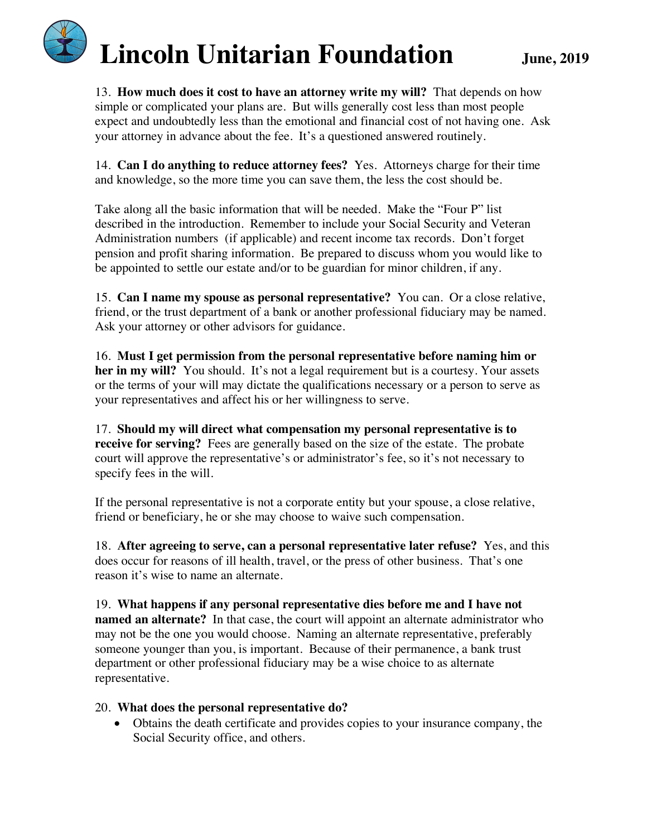13. **How much does it cost to have an attorney write my will?** That depends on how simple or complicated your plans are. But wills generally cost less than most people expect and undoubtedly less than the emotional and financial cost of not having one. Ask your attorney in advance about the fee. It's a questioned answered routinely.

14. **Can I do anything to reduce attorney fees?** Yes. Attorneys charge for their time and knowledge, so the more time you can save them, the less the cost should be.

Take along all the basic information that will be needed. Make the "Four P" list described in the introduction. Remember to include your Social Security and Veteran Administration numbers (if applicable) and recent income tax records. Don't forget pension and profit sharing information. Be prepared to discuss whom you would like to be appointed to settle our estate and/or to be guardian for minor children, if any.

15. **Can I name my spouse as personal representative?** You can. Or a close relative, friend, or the trust department of a bank or another professional fiduciary may be named. Ask your attorney or other advisors for guidance.

16. **Must I get permission from the personal representative before naming him or her in my will?** You should. It's not a legal requirement but is a courtesy. Your assets or the terms of your will may dictate the qualifications necessary or a person to serve as your representatives and affect his or her willingness to serve.

17. **Should my will direct what compensation my personal representative is to receive for serving?** Fees are generally based on the size of the estate. The probate court will approve the representative's or administrator's fee, so it's not necessary to specify fees in the will.

If the personal representative is not a corporate entity but your spouse, a close relative, friend or beneficiary, he or she may choose to waive such compensation.

18. **After agreeing to serve, can a personal representative later refuse?** Yes, and this does occur for reasons of ill health, travel, or the press of other business. That's one reason it's wise to name an alternate.

19. **What happens if any personal representative dies before me and I have not named an alternate?** In that case, the court will appoint an alternate administrator who may not be the one you would choose. Naming an alternate representative, preferably someone younger than you, is important. Because of their permanence, a bank trust department or other professional fiduciary may be a wise choice to as alternate representative.

#### 20. **What does the personal representative do?**

• Obtains the death certificate and provides copies to your insurance company, the Social Security office, and others.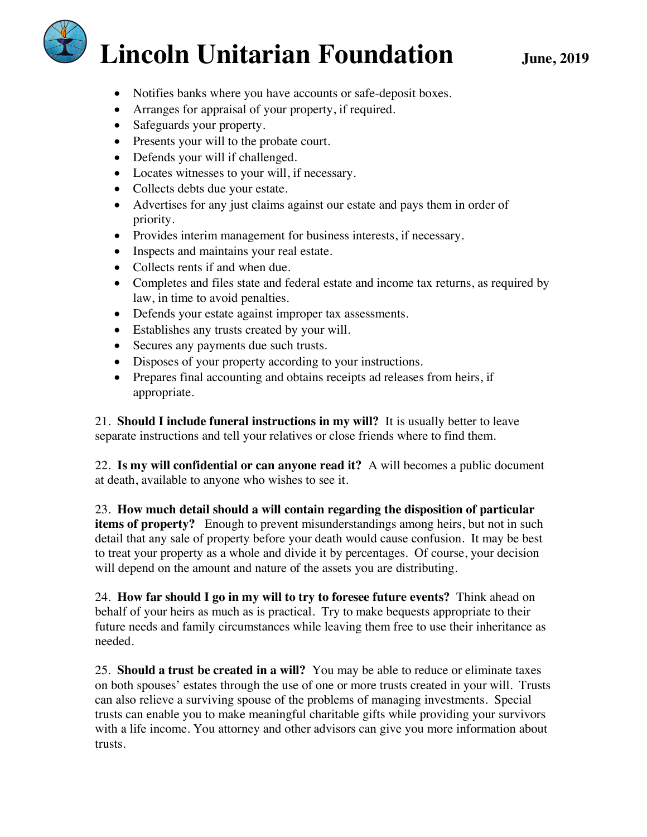- Notifies banks where you have accounts or safe-deposit boxes.
- Arranges for appraisal of your property, if required.
- Safeguards your property.
- Presents your will to the probate court.
- Defends your will if challenged.
- Locates witnesses to your will, if necessary.
- Collects debts due your estate.
- Advertises for any just claims against our estate and pays them in order of priority.
- Provides interim management for business interests, if necessary.
- Inspects and maintains your real estate.
- Collects rents if and when due.
- Completes and files state and federal estate and income tax returns, as required by law, in time to avoid penalties.
- Defends your estate against improper tax assessments.
- Establishes any trusts created by your will.
- Secures any payments due such trusts.
- Disposes of your property according to your instructions.
- Prepares final accounting and obtains receipts ad releases from heirs, if appropriate.

21. **Should I include funeral instructions in my will?** It is usually better to leave separate instructions and tell your relatives or close friends where to find them.

22. **Is my will confidential or can anyone read it?** A will becomes a public document at death, available to anyone who wishes to see it.

23. **How much detail should a will contain regarding the disposition of particular items of property?** Enough to prevent misunderstandings among heirs, but not in such detail that any sale of property before your death would cause confusion. It may be best to treat your property as a whole and divide it by percentages. Of course, your decision will depend on the amount and nature of the assets you are distributing.

24. **How far should I go in my will to try to foresee future events?** Think ahead on behalf of your heirs as much as is practical. Try to make bequests appropriate to their future needs and family circumstances while leaving them free to use their inheritance as needed.

25. **Should a trust be created in a will?** You may be able to reduce or eliminate taxes on both spouses' estates through the use of one or more trusts created in your will. Trusts can also relieve a surviving spouse of the problems of managing investments. Special trusts can enable you to make meaningful charitable gifts while providing your survivors with a life income. You attorney and other advisors can give you more information about trusts.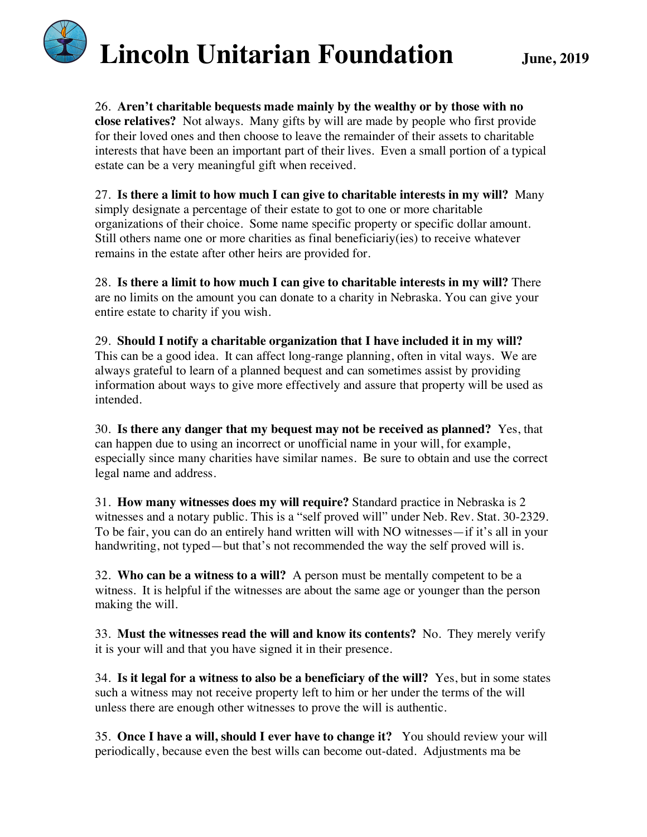26. **Aren't charitable bequests made mainly by the wealthy or by those with no close relatives?** Not always. Many gifts by will are made by people who first provide for their loved ones and then choose to leave the remainder of their assets to charitable interests that have been an important part of their lives. Even a small portion of a typical estate can be a very meaningful gift when received.

27. **Is there a limit to how much I can give to charitable interests in my will?** Many simply designate a percentage of their estate to got to one or more charitable organizations of their choice. Some name specific property or specific dollar amount. Still others name one or more charities as final beneficiariy(ies) to receive whatever remains in the estate after other heirs are provided for.

28. **Is there a limit to how much I can give to charitable interests in my will?** There are no limits on the amount you can donate to a charity in Nebraska. You can give your entire estate to charity if you wish.

29. **Should I notify a charitable organization that I have included it in my will?** This can be a good idea. It can affect long-range planning, often in vital ways. We are always grateful to learn of a planned bequest and can sometimes assist by providing information about ways to give more effectively and assure that property will be used as intended.

30. **Is there any danger that my bequest may not be received as planned?** Yes, that can happen due to using an incorrect or unofficial name in your will, for example, especially since many charities have similar names. Be sure to obtain and use the correct legal name and address.

31. **How many witnesses does my will require?** Standard practice in Nebraska is 2 witnesses and a notary public. This is a "self proved will" under Neb. Rev. Stat. 30-2329. To be fair, you can do an entirely hand written will with NO witnesses—if it's all in your handwriting, not typed—but that's not recommended the way the self proved will is.

32. **Who can be a witness to a will?** A person must be mentally competent to be a witness. It is helpful if the witnesses are about the same age or younger than the person making the will.

33. **Must the witnesses read the will and know its contents?** No. They merely verify it is your will and that you have signed it in their presence.

34. **Is it legal for a witness to also be a beneficiary of the will?** Yes, but in some states such a witness may not receive property left to him or her under the terms of the will unless there are enough other witnesses to prove the will is authentic.

35. **Once I have a will, should I ever have to change it?** You should review your will periodically, because even the best wills can become out-dated. Adjustments ma be